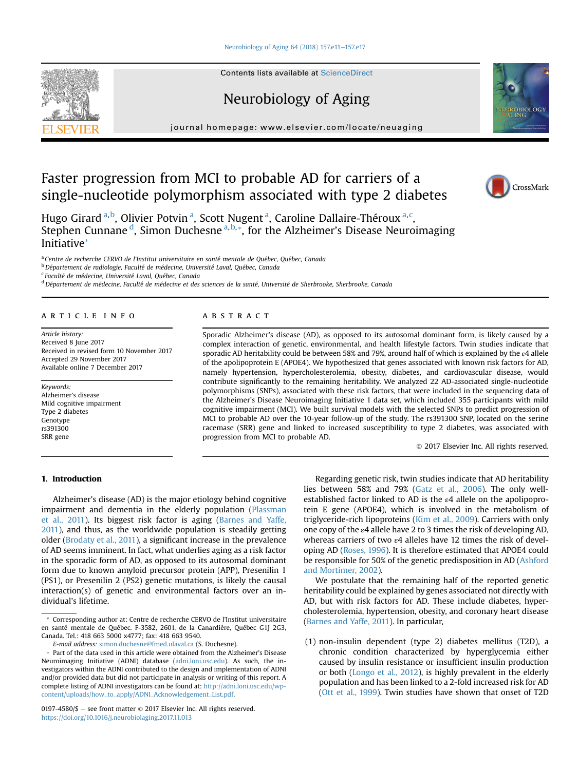#### [Neurobiology of Aging 64 \(2018\) 157.e11](https://doi.org/10.1016/j.neurobiolaging.2017.11.013)-[157.e17](https://doi.org/10.1016/j.neurobiolaging.2017.11.013)

Contents lists available at ScienceDirect

# Neurobiology of Aging

journal homepage: [www.elsevier.com/locate/neuaging](http://www.elsevier.com/locate/neuaging)

# Faster progression from MCI to probable AD for carriers of a single-nucleotide polymorphism associated with type 2 diabetes

Hugo Girard <sup>a, b</sup>, Olivier Potvin <sup>a</sup>, Scott Nugent <sup>a</sup>, Caroline Dallaire-Théroux <sup>a, c</sup>, Stephen Cunnane<sup>d</sup>, Simon Duchesne<sup>a, b, \*</sup>, for the Alzheimer's Disease Neuroimaging Initiative\*

<sup>a</sup> Centre de recherche CERVO de l'Institut universitaire en santé mentale de Québec, Québec, Canada

<sup>b</sup> Département de radiologie, Faculté de médecine, Université Laval, Québec, Canada

<sup>c</sup> Faculté de médecine, Université Laval, Québec, Canada

<sup>d</sup> Département de médecine, Faculté de médecine et des sciences de la santé, Université de Sherbrooke, Sherbrooke, Canada

# article info

Article history: Received 8 June 2017 Received in revised form 10 November 2017 Accepted 29 November 2017 Available online 7 December 2017

Keywords: Alzheimer's disease Mild cognitive impairment Type 2 diabetes Genotype rs391300 SRR gene

# **ABSTRACT**

Sporadic Alzheimer's disease (AD), as opposed to its autosomal dominant form, is likely caused by a complex interaction of genetic, environmental, and health lifestyle factors. Twin studies indicate that sporadic AD heritability could be between 58% and 79%, around half of which is explained by the ε4 allele of the apolipoprotein E (APOE4). We hypothesized that genes associated with known risk factors for AD, namely hypertension, hypercholesterolemia, obesity, diabetes, and cardiovascular disease, would contribute significantly to the remaining heritability. We analyzed 22 AD-associated single-nucleotide polymorphisms (SNPs), associated with these risk factors, that were included in the sequencing data of the Alzheimer's Disease Neuroimaging Initiative 1 data set, which included 355 participants with mild cognitive impairment (MCI). We built survival models with the selected SNPs to predict progression of MCI to probable AD over the 10-year follow-up of the study. The rs391300 SNP, located on the serine racemase (SRR) gene and linked to increased susceptibility to type 2 diabetes, was associated with progression from MCI to probable AD.

2017 Elsevier Inc. All rights reserved.

## 1. Introduction

## Alzheimer's disease (AD) is the major etiology behind cognitive impairment and dementia in the elderly population ([Plassman](#page-5-0) [et al., 2011](#page-5-0)). Its biggest risk factor is aging [\(Barnes and Yaffe,](#page-4-0) [2011](#page-4-0)), and thus, as the worldwide population is steadily getting older ([Brodaty et al., 2011\)](#page-4-0), a significant increase in the prevalence of AD seems imminent. In fact, what underlies aging as a risk factor in the sporadic form of AD, as opposed to its autosomal dominant form due to known amyloid precursor protein (APP), Presenilin 1 (PS1), or Presenilin 2 (PS2) genetic mutations, is likely the causal interaction(s) of genetic and environmental factors over an individual's lifetime.

E-mail address: [simon.duchesne@fmed.ulaval.ca](mailto:simon.duchesne@fmed.ulaval.ca) (S. Duchesne).

Regarding genetic risk, twin studies indicate that AD heritability lies between 58% and 79% [\(Gatz et al., 2006](#page-4-0)). The only wellestablished factor linked to AD is the ε4 allele on the apolipoprotein E gene (APOE4), which is involved in the metabolism of triglyceride-rich lipoproteins [\(Kim et al., 2009](#page-5-0)). Carriers with only one copy of the ε4 allele have 2 to 3 times the risk of developing AD, whereas carriers of two ε4 alleles have 12 times the risk of developing AD ([Roses, 1996](#page-5-0)). It is therefore estimated that APOE4 could be responsible for 50% of the genetic predisposition in AD [\(Ashford](#page-4-0) [and Mortimer, 2002](#page-4-0)).

We postulate that the remaining half of the reported genetic heritability could be explained by genes associated not directly with AD, but with risk factors for AD. These include diabetes, hypercholesterolemia, hypertension, obesity, and coronary heart disease [\(Barnes and Yaffe, 2011](#page-4-0)). In particular,

(1) non-insulin dependent (type 2) diabetes mellitus (T2D), a chronic condition characterized by hyperglycemia either caused by insulin resistance or insufficient insulin production or both [\(Longo et al., 2012\)](#page-5-0), is highly prevalent in the elderly population and has been linked to a 2-fold increased risk for AD ([Ott et al., 1999](#page-5-0)). Twin studies have shown that onset of T2D





CrossMark

<sup>\*</sup> Corresponding author at: Centre de recherche CERVO de l'Institut universitaire en santé mentale de Québec. F-3582, 2601, de la Canardière, Québec G1J 2G3, Canada. Tel.: 418 663 5000 x4777; fax: 418 663 9540.

Part of the data used in this article were obtained from the Alzheimer's Disease Neuroimaging Initiative (ADNI) database [\(adni.loni.usc.edu\)](http://adni.loni.usc.edu). As such, the investigators within the ADNI contributed to the design and implementation of ADNI and/or provided data but did not participate in analysis or writing of this report. A complete listing of ADNI investigators can be found at: [http://adni.loni.usc.edu/wp](http://adni.loni.usc.edu/wp-content/uploads/how_to_apply/ADNI_Acknowledgement_List.pdf)[content/uploads/how\\_to\\_apply/ADNI\\_Acknowledgement\\_List.pdf.](http://adni.loni.usc.edu/wp-content/uploads/how_to_apply/ADNI_Acknowledgement_List.pdf)

<sup>0197-4580/\$ -</sup> see front matter  $\odot$  2017 Elsevier Inc. All rights reserved. <https://doi.org/10.1016/j.neurobiolaging.2017.11.013>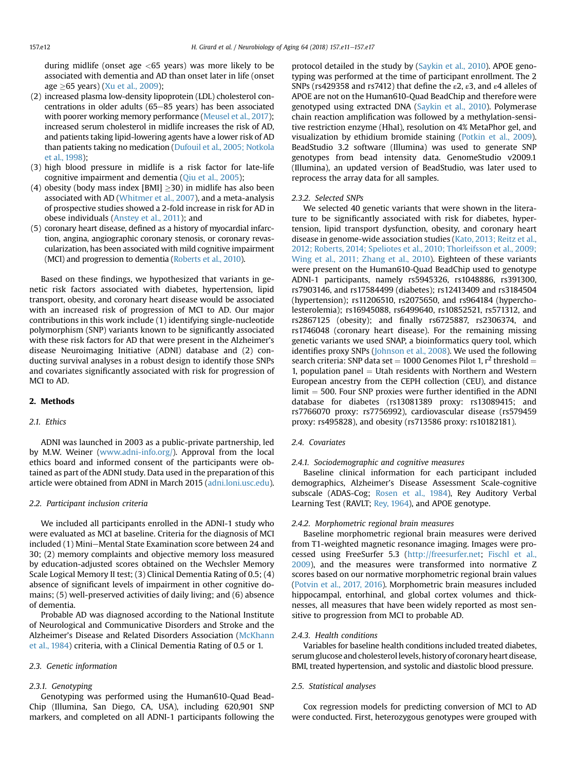during midlife (onset age  $\lt$  65 years) was more likely to be associated with dementia and AD than onset later in life (onset  $age \geq 65 \text{ years}$ ) ([Xu et al., 2009\)](#page-6-0);

- (2) increased plasma low-density lipoprotein (LDL) cholesterol concentrations in older adults  $(65-85$  years) has been associated with poorer working memory performance [\(Meusel et al., 2017](#page-5-0)); increased serum cholesterol in midlife increases the risk of AD, and patients taking lipid-lowering agents have a lower risk of AD than patients taking no medication [\(Dufouil et al., 2005; Notkola](#page-4-0) [et al., 1998\)](#page-4-0);
- (3) high blood pressure in midlife is a risk factor for late-life cognitive impairment and dementia [\(Qiu et al., 2005\)](#page-5-0);
- (4) obesity (body mass index [BMI]  $\geq$ 30) in midlife has also been associated with AD ([Whitmer et al., 2007](#page-6-0)), and a meta-analysis of prospective studies showed a 2-fold increase in risk for AD in obese individuals [\(Anstey et al., 2011\)](#page-4-0); and
- (5) coronary heart disease, defined as a history of myocardial infarction, angina, angiographic coronary stenosis, or coronary revascularization, has been associated with mild cognitive impairment (MCI) and progression to dementia ([Roberts et al., 2010](#page-5-0)).

Based on these findings, we hypothesized that variants in genetic risk factors associated with diabetes, hypertension, lipid transport, obesity, and coronary heart disease would be associated with an increased risk of progression of MCI to AD. Our major contributions in this work include (1) identifying single-nucleotide polymorphism (SNP) variants known to be significantly associated with these risk factors for AD that were present in the Alzheimer's disease Neuroimaging Initiative (ADNI) database and (2) conducting survival analyses in a robust design to identify those SNPs and covariates significantly associated with risk for progression of MCI to AD.

### 2. Methods

# 2.1. Ethics

ADNI was launched in 2003 as a public-private partnership, led by M.W. Weiner ([www.adni-info.org/](http://www.adni-info.org/)). Approval from the local ethics board and informed consent of the participants were obtained as part of the ADNI study. Data used in the preparation of this article were obtained from ADNI in March 2015 ([adni.loni.usc.edu\)](http://adni.loni.usc.edu).

#### 2.2. Participant inclusion criteria

We included all participants enrolled in the ADNI-1 study who were evaluated as MCI at baseline. Criteria for the diagnosis of MCI included (1) Mini-Mental State Examination score between 24 and 30; (2) memory complaints and objective memory loss measured by education-adjusted scores obtained on the Wechsler Memory Scale Logical Memory II test; (3) Clinical Dementia Rating of 0.5; (4) absence of significant levels of impairment in other cognitive domains; (5) well-preserved activities of daily living; and (6) absence of dementia.

Probable AD was diagnosed according to the National Institute of Neurological and Communicative Disorders and Stroke and the Alzheimer's Disease and Related Disorders Association ([McKhann](#page-5-0) [et al., 1984\)](#page-5-0) criteria, with a Clinical Dementia Rating of 0.5 or 1.

## 2.3. Genetic information

## 2.3.1. Genotyping

Genotyping was performed using the Human610-Quad Bead-Chip (Illumina, San Diego, CA, USA), including 620,901 SNP markers, and completed on all ADNI-1 participants following the

protocol detailed in the study by [\(Saykin et al., 2010\)](#page-5-0). APOE genotyping was performed at the time of participant enrollment. The 2 SNPs (rs429358 and rs7412) that define the  $\varepsilon$ 2,  $\varepsilon$ 3, and  $\varepsilon$ 4 alleles of APOE are not on the Human610-Quad BeadChip and therefore were genotyped using extracted DNA ([Saykin et al., 2010\)](#page-5-0). Polymerase chain reaction amplification was followed by a methylation-sensitive restriction enzyme (HhaI), resolution on 4% MetaPhor gel, and visualization by ethidium bromide staining [\(Potkin et al., 2009\)](#page-5-0). BeadStudio 3.2 software (Illumina) was used to generate SNP genotypes from bead intensity data. GenomeStudio v2009.1 (Illumina), an updated version of BeadStudio, was later used to reprocess the array data for all samples.

# 2.3.2. Selected SNPs

We selected 40 genetic variants that were shown in the literature to be significantly associated with risk for diabetes, hypertension, lipid transport dysfunction, obesity, and coronary heart disease in genome-wide association studies ([Kato, 2013; Reitz et al.,](#page-5-0) [2012; Roberts, 2014; Speliotes et al., 2010; Thorleifsson et al., 2009;](#page-5-0) [Wing et al., 2011; Zhang et al., 2010\)](#page-5-0). Eighteen of these variants were present on the Human610-Quad BeadChip used to genotype ADNI-1 participants, namely rs5945326, rs1048886, rs391300, rs7903146, and rs17584499 (diabetes); rs12413409 and rs3184504 (hypertension); rs11206510, rs2075650, and rs964184 (hypercholesterolemia); rs16945088, rs6499640, rs10852521, rs571312, and rs2867125 (obesity); and finally rs6725887, rs2306374, and rs1746048 (coronary heart disease). For the remaining missing genetic variants we used SNAP, a bioinformatics query tool, which identifies proxy SNPs [\(Johnson et al., 2008](#page-4-0)). We used the following search criteria: SNP data set = 1000 Genomes Pilot 1,  $r^2$  threshold = 1, population panel  $=$  Utah residents with Northern and Western European ancestry from the CEPH collection (CEU), and distance  $limit = 500$ . Four SNP proxies were further identified in the ADNI database for diabetes (rs13081389 proxy: rs13089415; and rs7766070 proxy: rs7756992), cardiovascular disease (rs579459 proxy: rs495828), and obesity (rs713586 proxy: rs10182181).

#### 2.4. Covariates

#### 2.4.1. Sociodemographic and cognitive measures

Baseline clinical information for each participant included demographics, Alzheimer's Disease Assessment Scale-cognitive subscale (ADAS-Cog; [Rosen et al., 1984\)](#page-5-0), Rey Auditory Verbal Learning Test (RAVLT; [Rey, 1964\)](#page-5-0), and APOE genotype.

#### 2.4.2. Morphometric regional brain measures

Baseline morphometric regional brain measures were derived from T1-weighted magnetic resonance imaging. Images were processed using FreeSurfer 5.3 ([http://freesurfer.net;](http://freesurfer.net) [Fischl et al.,](#page-4-0) [2009](#page-4-0)), and the measures were transformed into normative Z scores based on our normative morphometric regional brain values ([Potvin et al., 2017, 2016\)](#page-5-0). Morphometric brain measures included hippocampal, entorhinal, and global cortex volumes and thicknesses, all measures that have been widely reported as most sensitive to progression from MCI to probable AD.

#### 2.4.3. Health conditions

Variables for baseline health conditions included treated diabetes, serum glucose and cholesterol levels, history of coronary heart disease, BMI, treated hypertension, and systolic and diastolic blood pressure.

#### 2.5. Statistical analyses

Cox regression models for predicting conversion of MCI to AD were conducted. First, heterozygous genotypes were grouped with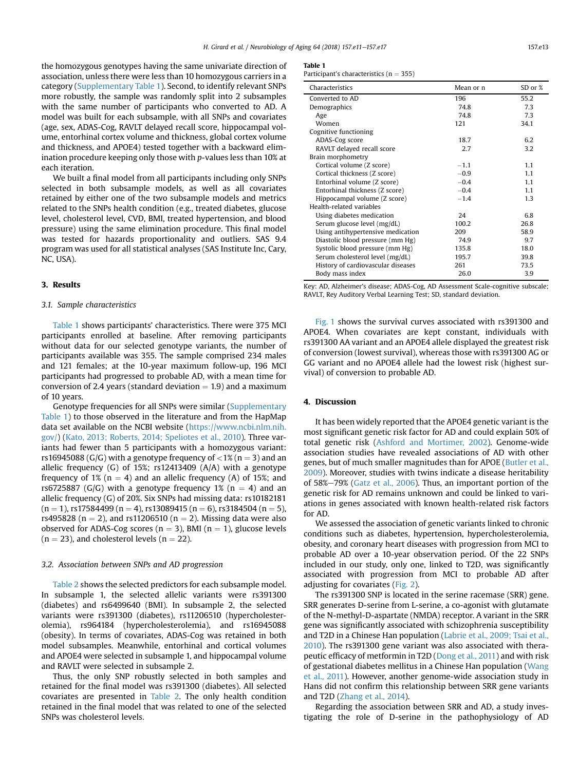$\overline{a}$ 

the homozygous genotypes having the same univariate direction of association, unless there were less than 10 homozygous carriers in a category (Supplementary Table 1). Second, to identify relevant SNPs more robustly, the sample was randomly split into 2 subsamples with the same number of participants who converted to AD. A model was built for each subsample, with all SNPs and covariates (age, sex, ADAS-Cog, RAVLT delayed recall score, hippocampal volume, entorhinal cortex volume and thickness, global cortex volume and thickness, and APOE4) tested together with a backward elimination procedure keeping only those with p-values less than 10% at each iteration.

We built a final model from all participants including only SNPs selected in both subsample models, as well as all covariates retained by either one of the two subsample models and metrics related to the SNPs health condition (e.g., treated diabetes, glucose level, cholesterol level, CVD, BMI, treated hypertension, and blood pressure) using the same elimination procedure. This final model was tested for hazards proportionality and outliers. SAS 9.4 program was used for all statistical analyses (SAS Institute Inc, Cary, NC, USA).

#### 3. Results

## 3.1. Sample characteristics

Table 1 shows participants' characteristics. There were 375 MCI participants enrolled at baseline. After removing participants without data for our selected genotype variants, the number of participants available was 355. The sample comprised 234 males and 121 females; at the 10-year maximum follow-up, 196 MCI participants had progressed to probable AD, with a mean time for conversion of 2.4 years (standard deviation  $= 1.9$ ) and a maximum of 10 years.

Genotype frequencies for all SNPs were similar (Supplementary Table 1) to those observed in the literature and from the HapMap data set available on the NCBI website [\(https://www.ncbi.nlm.nih.](https://www.ncbi.nlm.nih.gov/) [gov/\)](https://www.ncbi.nlm.nih.gov/) ([Kato, 2013; Roberts, 2014; Speliotes et al., 2010\)](#page-5-0). Three variants had fewer than 5 participants with a homozygous variant: rs16945088 (G/G) with a genotype frequency of  $<$ 1% (n = 3) and an allelic frequency (G) of 15%; rs12413409 (A/A) with a genotype frequency of 1% ( $n = 4$ ) and an allelic frequency (A) of 15%; and rs6725887 (G/G) with a genotype frequency 1% ( $n = 4$ ) and an allelic frequency (G) of 20%. Six SNPs had missing data: rs10182181  $(n = 1)$ , rs17584499  $(n = 4)$ , rs13089415  $(n = 6)$ , rs3184504  $(n = 5)$ , rs495828 ( $n = 2$ ), and rs11206510 ( $n = 2$ ). Missing data were also observed for ADAS-Cog scores ( $n = 3$ ), BMI ( $n = 1$ ), glucose levels  $(n = 23)$ , and cholesterol levels  $(n = 22)$ .

#### 3.2. Association between SNPs and AD progression

[Table 2](#page-3-0) shows the selected predictors for each subsample model. In subsample 1, the selected allelic variants were rs391300 (diabetes) and rs6499640 (BMI). In subsample 2, the selected variants were rs391300 (diabetes), rs11206510 (hypercholesterolemia), rs964184 (hypercholesterolemia), and rs16945088 (obesity). In terms of covariates, ADAS-Cog was retained in both model subsamples. Meanwhile, entorhinal and cortical volumes and APOE4 were selected in subsample 1, and hippocampal volume and RAVLT were selected in subsample 2.

Thus, the only SNP robustly selected in both samples and retained for the final model was rs391300 (diabetes). All selected covariates are presented in [Table 2](#page-3-0). The only health condition retained in the final model that was related to one of the selected SNPs was cholesterol levels.

#### Table 1

Participant's characteristics  $(n = 355)$ 

| Characteristics                    | Mean or n | SD or % |
|------------------------------------|-----------|---------|
| Converted to AD                    | 196       | 55.2    |
| Demographics                       | 74.8      | 7.3     |
| Age                                | 74.8      | 7.3     |
| Women                              | 121       | 34.1    |
| Cognitive functioning              |           |         |
| ADAS-Cog score                     | 18.7      | 6.2     |
| RAVLT delayed recall score         | 2.7       | 3.2     |
| Brain morphometry                  |           |         |
| Cortical volume (Z score)          | $-1.1$    | 1.1     |
| Cortical thickness (Z score)       | $-0.9$    | 1.1     |
| Entorhinal volume (Z score)        | $-0.4$    | 1.1     |
| Entorhinal thickness (Z score)     | $-0.4$    | 1.1     |
| Hippocampal volume (Z score)       | $-1.4$    | 1.3     |
| Health-related variables           |           |         |
| Using diabetes medication          | 24        | 6.8     |
| Serum glucose level (mg/dL)        | 100.2     | 26.8    |
| Using antihypertensive medication  | 209       | 58.9    |
| Diastolic blood pressure (mm Hg)   | 74.9      | 9.7     |
| Systolic blood pressure (mm Hg)    | 135.8     | 18.0    |
| Serum cholesterol level (mg/dL)    | 195.7     | 39.8    |
| History of cardiovascular diseases | 261       | 73.5    |
| Body mass index                    | 26.0      | 3.9     |

Key: AD, Alzheimer's disease; ADAS-Cog, AD Assessment Scale-cognitive subscale; RAVLT, Rey Auditory Verbal Learning Test; SD, standard deviation.

[Fig. 1](#page-3-0) shows the survival curves associated with rs391300 and APOE4. When covariates are kept constant, individuals with rs391300 AA variant and an APOE4 allele displayed the greatest risk of conversion (lowest survival), whereas those with rs391300 AG or GG variant and no APOE4 allele had the lowest risk (highest survival) of conversion to probable AD.

## 4. Discussion

It has been widely reported that the APOE4 genetic variant is the most significant genetic risk factor for AD and could explain 50% of total genetic risk ([Ashford and Mortimer, 2002\)](#page-4-0). Genome-wide association studies have revealed associations of AD with other genes, but of much smaller magnitudes than for APOE [\(Butler et al.,](#page-4-0) [2009](#page-4-0)). Moreover, studies with twins indicate a disease heritability of 58%-79% ([Gatz et al., 2006](#page-4-0)). Thus, an important portion of the genetic risk for AD remains unknown and could be linked to variations in genes associated with known health-related risk factors for AD.

We assessed the association of genetic variants linked to chronic conditions such as diabetes, hypertension, hypercholesterolemia, obesity, and coronary heart diseases with progression from MCI to probable AD over a 10-year observation period. Of the 22 SNPs included in our study, only one, linked to T2D, was significantly associated with progression from MCI to probable AD after adjusting for covariates [\(Fig. 2](#page-3-0)).

The rs391300 SNP is located in the serine racemase (SRR) gene. SRR generates D-serine from L-serine, a co-agonist with glutamate of the N-methyl-D-aspartate (NMDA) receptor. A variant in the SRR gene was significantly associated with schizophrenia susceptibility and T2D in a Chinese Han population [\(Labrie et al., 2009; Tsai et al.,](#page-5-0) [2010](#page-5-0)). The rs391300 gene variant was also associated with therapeutic efficacy of metformin in T2D ([Dong et al., 2011\)](#page-4-0) and with risk of gestational diabetes mellitus in a Chinese Han population ([Wang](#page-6-0) [et al., 2011\)](#page-6-0). However, another genome-wide association study in Hans did not confirm this relationship between SRR gene variants and T2D [\(Zhang et al., 2014](#page-6-0)).

Regarding the association between SRR and AD, a study investigating the role of D-serine in the pathophysiology of AD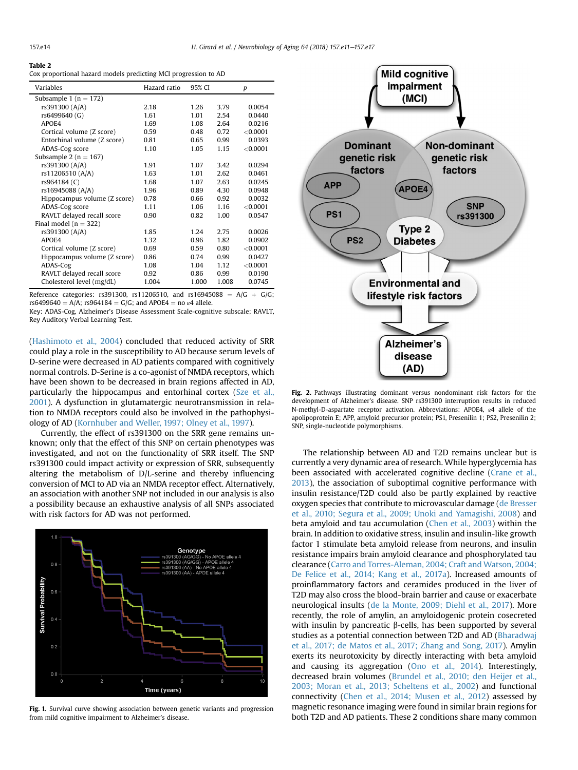#### <span id="page-3-0"></span>Table 2

| Cox proportional hazard models predicting MCI progression to AD |  |  |  |  |
|-----------------------------------------------------------------|--|--|--|--|
|                                                                 |  |  |  |  |

| Variables                    | Hazard ratio | 95% CI |       | p        |
|------------------------------|--------------|--------|-------|----------|
| Subsample 1 ( $n = 172$ )    |              |        |       |          |
| rs391300 (A/A)               | 2.18         | 1.26   | 3.79  | 0.0054   |
| rs6499640 (G)                | 1.61         | 1.01   | 2.54  | 0.0440   |
| APOF4                        | 1.69         | 1.08   | 2.64  | 0.0216   |
| Cortical volume (Z score)    | 0.59         | 0.48   | 0.72  | < 0.0001 |
| Entorhinal volume (Z score)  | 0.81         | 0.65   | 0.99  | 0.0393   |
| ADAS-Cog score               | 1.10         | 1.05   | 1.15  | < 0.0001 |
| Subsample 2 ( $n = 167$ )    |              |        |       |          |
| rs391300 (A/A)               | 1.91         | 1.07   | 3.42  | 0.0294   |
| rs11206510 (A/A)             | 1.63         | 1.01   | 2.62  | 0.0461   |
| rs964184 (C)                 | 1.68         | 1.07   | 2.63  | 0.0245   |
| rs16945088 (A/A)             | 1.96         | 0.89   | 4.30  | 0.0948   |
| Hippocampus volume (Z score) | 0.78         | 0.66   | 0.92  | 0.0032   |
| ADAS-Cog score               | 1.11         | 1.06   | 1.16  | < 0.0001 |
| RAVLT delayed recall score   | 0.90         | 0.82   | 1.00  | 0.0547   |
| Final model ( $n = 322$ )    |              |        |       |          |
| rs391300 (A/A)               | 1.85         | 1.24   | 2.75  | 0.0026   |
| APOF4                        | 1.32         | 0.96   | 1.82  | 0.0902   |
| Cortical volume (Z score)    | 0.69         | 0.59   | 0.80  | < 0.0001 |
| Hippocampus volume (Z score) | 0.86         | 0.74   | 0.99  | 0.0427   |
| ADAS-Cog                     | 1.08         | 1.04   | 1.12  | < 0.0001 |
| RAVLT delayed recall score   | 0.92         | 0.86   | 0.99  | 0.0190   |
| Cholesterol level (mg/dL)    | 1.004        | 1.000  | 1.008 | 0.0745   |

Reference categories: rs391300, rs11206510, and rs16945088 =  $A/G + G/G$ ; rs6499640 = A/A; rs964184 = G/G; and APOE4 = no  $\varepsilon$ 4 allele.

Key: ADAS-Cog, Alzheimer's Disease Assessment Scale-cognitive subscale; RAVLT, Rey Auditory Verbal Learning Test.

[\(Hashimoto et al., 2004](#page-4-0)) concluded that reduced activity of SRR could play a role in the susceptibility to AD because serum levels of D-serine were decreased in AD patients compared with cognitively normal controls. D-Serine is a co-agonist of NMDA receptors, which have been shown to be decreased in brain regions affected in AD, particularly the hippocampus and entorhinal cortex ([Sze et al.,](#page-5-0) [2001](#page-5-0)). A dysfunction in glutamatergic neurotransmission in relation to NMDA receptors could also be involved in the pathophysiology of AD ([Kornhuber and Weller, 1997; Olney et al., 1997](#page-5-0)).

Currently, the effect of rs391300 on the SRR gene remains unknown; only that the effect of this SNP on certain phenotypes was investigated, and not on the functionality of SRR itself. The SNP rs391300 could impact activity or expression of SRR, subsequently altering the metabolism of D/L-serine and thereby influencing conversion of MCI to AD via an NMDA receptor effect. Alternatively, an association with another SNP not included in our analysis is also a possibility because an exhaustive analysis of all SNPs associated with risk factors for AD was not performed.



Fig. 1. Survival curve showing association between genetic variants and progression from mild cognitive impairment to Alzheimer's disease.



Fig. 2. Pathways illustrating dominant versus nondominant risk factors for the development of Alzheimer's disease. SNP rs391300 interruption results in reduced N-methyl-D-aspartate receptor activation. Abbreviations: APOE4, ε4 allele of the apolipoprotein E; APP, amyloid precursor protein; PS1, Presenilin 1; PS2, Presenilin 2; SNP, single-nucleotide polymorphisms.

The relationship between AD and T2D remains unclear but is currently a very dynamic area of research. While hyperglycemia has been associated with accelerated cognitive decline [\(Crane et al.,](#page-4-0) [2013\)](#page-4-0), the association of suboptimal cognitive performance with insulin resistance/T2D could also be partly explained by reactive oxygen species that contribute to microvascular damage [\(de Bresser](#page-4-0) [et al., 2010; Segura et al., 2009; Unoki and Yamagishi, 2008](#page-4-0)) and beta amyloid and tau accumulation ([Chen et al., 2003\)](#page-4-0) within the brain. In addition to oxidative stress, insulin and insulin-like growth factor 1 stimulate beta amyloid release from neurons, and insulin resistance impairs brain amyloid clearance and phosphorylated tau clearance ([Carro and Torres-Aleman, 2004; Craft and Watson, 2004;](#page-4-0) [De Felice et al., 2014; Kang et al., 2017a\)](#page-4-0). Increased amounts of proinflammatory factors and ceramides produced in the liver of T2D may also cross the blood-brain barrier and cause or exacerbate neurological insults ([de la Monte, 2009; Diehl et al., 2017](#page-4-0)). More recently, the role of amylin, an amyloidogenic protein cosecreted with insulin by pancreatic  $\beta$ -cells, has been supported by several studies as a potential connection between T2D and AD ([Bharadwaj](#page-4-0) [et al., 2017; de Matos et al., 2017; Zhang and Song, 2017\)](#page-4-0). Amylin exerts its neurotoxicity by directly interacting with beta amyloid and causing its aggregation [\(Ono et al., 2014](#page-5-0)). Interestingly, decreased brain volumes ([Brundel et al., 2010; den Heijer et al.,](#page-4-0) [2003; Moran et al., 2013; Scheltens et al., 2002\)](#page-4-0) and functional connectivity [\(Chen et al., 2014; Musen et al., 2012](#page-4-0)) assessed by magnetic resonance imaging were found in similar brain regions for both T2D and AD patients. These 2 conditions share many common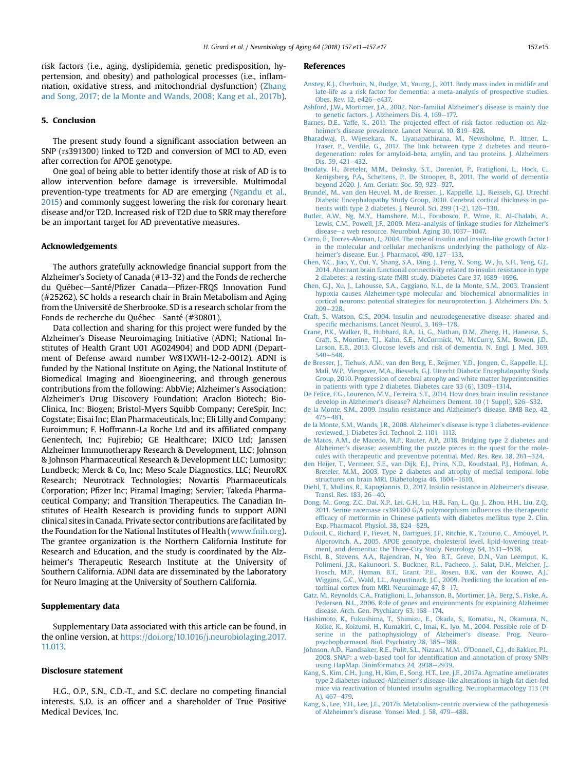<span id="page-4-0"></span>risk factors (i.e., aging, dyslipidemia, genetic predisposition, hypertension, and obesity) and pathological processes (i.e., inflammation, oxidative stress, and mitochondrial dysfunction) ([Zhang](#page-6-0) [and Song, 2017; de la Monte and Wands, 2008; Kang et al., 2017b](#page-6-0)).

## 5. Conclusion

The present study found a significant association between an SNP (rs391300) linked to T2D and conversion of MCI to AD, even after correction for APOE genotype.

One goal of being able to better identify those at risk of AD is to allow intervention before damage is irreversible. Multimodal prevention-type treatments for AD are emerging ([Ngandu et al.,](#page-5-0) [2015\)](#page-5-0) and commonly suggest lowering the risk for coronary heart disease and/or T2D. Increased risk of T2D due to SRR may therefore be an important target for AD preventative measures.

#### Acknowledgements

The authors gratefully acknowledge financial support from the Alzheimer's Society of Canada (#13-32) and the Fonds de recherche du Québec-Santé/Pfizer Canada-Pfizer-FRQS Innovation Fund (#25262). SC holds a research chair in Brain Metabolism and Aging from the Université de Sherbrooke. SD is a research scholar from the Fonds de recherche du Québec-Santé (#30801).

Data collection and sharing for this project were funded by the Alzheimer's Disease Neuroimaging Initiative (ADNI; National Institutes of Health Grant U01 AG024904) and DOD ADNI (Department of Defense award number W81XWH-12-2-0012). ADNI is funded by the National Institute on Aging, the National Institute of Biomedical Imaging and Bioengineering, and through generous contributions from the following: AbbVie; Alzheimer's Association; Alzheimer's Drug Discovery Foundation; Araclon Biotech; Bio-Clinica, Inc; Biogen; Bristol-Myers Squibb Company; CereSpir, Inc; Cogstate; Eisai Inc; Elan Pharmaceuticals, Inc; Eli Lilly and Company; Euroimmun; F. Hoffmann-La Roche Ltd and its affiliated company Genentech, Inc; Fujirebio; GE Healthcare; IXICO Ltd; Janssen Alzheimer Immunotherapy Research & Development, LLC; Johnson & Johnson Pharmaceutical Research & Development LLC; Lumosity; Lundbeck; Merck & Co, Inc; Meso Scale Diagnostics, LLC; NeuroRX Research; Neurotrack Technologies; Novartis Pharmaceuticals Corporation; Pfizer Inc; Piramal Imaging; Servier; Takeda Pharmaceutical Company; and Transition Therapeutics. The Canadian Institutes of Health Research is providing funds to support ADNI clinical sites in Canada. Private sector contributions are facilitated by the Foundation for the National Institutes of Health [\(www.fnih.org](http://www.fnih.org)). The grantee organization is the Northern California Institute for Research and Education, and the study is coordinated by the Alzheimer's Therapeutic Research Institute at the University of Southern California. ADNI data are disseminated by the Laboratory for Neuro Imaging at the University of Southern California.

## Supplementary data

Supplementary Data associated with this article can be found, in the online version, at [https://doi.org/10.1016/j.neurobiolaging.2017.](https://doi.org/10.1016/j.neurobiolaging.2017.11.013) [11.013.](https://doi.org/10.1016/j.neurobiolaging.2017.11.013)

#### Disclosure statement

H.G., O.P., S.N., C.D.-T., and S.C. declare no competing financial interests. S.D. is an officer and a shareholder of True Positive Medical Devices, Inc.

#### References

- [Anstey, K.J., Cherbuin, N., Budge, M., Young, J., 2011. Body mass index in midlife and](http://refhub.elsevier.com/S0197-4580(17)30384-6/sref1) [late-life as a risk factor for dementia: a meta-analysis of prospective studies.](http://refhub.elsevier.com/S0197-4580(17)30384-6/sref1) [Obes. Rev. 12, e426](http://refhub.elsevier.com/S0197-4580(17)30384-6/sref1)-[e437.](http://refhub.elsevier.com/S0197-4580(17)30384-6/sref1)
- [Ashford, J.W., Mortimer, J.A., 2002. Non-familial Alzheimer](http://refhub.elsevier.com/S0197-4580(17)30384-6/sref2)'s disease is mainly due [to genetic factors. J. Alzheimers Dis. 4, 169](http://refhub.elsevier.com/S0197-4580(17)30384-6/sref2)-[177.](http://refhub.elsevier.com/S0197-4580(17)30384-6/sref2)
- [Barnes, D.E., Yaffe, K., 2011. The projected effect of risk factor reduction on Alz](http://refhub.elsevier.com/S0197-4580(17)30384-6/sref3)heimer'[s disease prevalence. Lancet Neurol. 10, 819](http://refhub.elsevier.com/S0197-4580(17)30384-6/sref3)-[828.](http://refhub.elsevier.com/S0197-4580(17)30384-6/sref3)
- [Bharadwaj, P., Wijesekara, N., Liyanapathirana, M., Newsholme, P., Ittner, L.,](http://refhub.elsevier.com/S0197-4580(17)30384-6/sref4) [Fraser, P., Verdile, G., 2017. The link between type 2 diabetes and neuro](http://refhub.elsevier.com/S0197-4580(17)30384-6/sref4)[degeneration: roles for amyloid-beta, amylin, and tau proteins. J. Alzheimers](http://refhub.elsevier.com/S0197-4580(17)30384-6/sref4) [Dis. 59, 421](http://refhub.elsevier.com/S0197-4580(17)30384-6/sref4)-[432.](http://refhub.elsevier.com/S0197-4580(17)30384-6/sref4)
- [Brodaty, H., Breteler, M.M., Dekosky, S.T., Dorenlot, P., Fratiglioni, L., Hock, C.,](http://refhub.elsevier.com/S0197-4580(17)30384-6/sref5) [Kenigsberg, P.A., Scheltens, P., De Strooper, B., 2011. The world of dementia](http://refhub.elsevier.com/S0197-4580(17)30384-6/sref5) [beyond 2020. J. Am. Geriatr. Soc. 59, 923](http://refhub.elsevier.com/S0197-4580(17)30384-6/sref5)-[927.](http://refhub.elsevier.com/S0197-4580(17)30384-6/sref5)
- [Brundel, M., van den Heuvel, M., de Bresser, J., Kappelle, L.J., Biessels, G.J. Utrecht](http://refhub.elsevier.com/S0197-4580(17)30384-6/sref6) [Diabetic Encephalopathy Study Group, 2010. Cerebral cortical thickness in pa](http://refhub.elsevier.com/S0197-4580(17)30384-6/sref6)tients with type 2 diabetes. J. Neurol. Sci. 299 (1-2),  $126-130$  $126-130$ .
- [Butler, A.W., Ng, M.Y., Hamshere, M.L., Forabosco, P., Wroe, R., Al-Chalabi, A.,](http://refhub.elsevier.com/S0197-4580(17)30384-6/sref7) [Lewis, C.M., Powell, J.F., 2009. Meta-analysis of linkage studies for Alzheimer](http://refhub.elsevier.com/S0197-4580(17)30384-6/sref7)'s [disease](http://refhub.elsevier.com/S0197-4580(17)30384-6/sref7)-[a web resource. Neurobiol. Aging 30, 1037](http://refhub.elsevier.com/S0197-4580(17)30384-6/sref7)-[1047.](http://refhub.elsevier.com/S0197-4580(17)30384-6/sref7)
- [Carro, E., Torres-Aleman, I., 2004. The role of insulin and insulin-like growth factor I](http://refhub.elsevier.com/S0197-4580(17)30384-6/sref8) [in the molecular and cellular mechanisms underlying the pathology of Alz](http://refhub.elsevier.com/S0197-4580(17)30384-6/sref8)heimer'[s disease. Eur. J. Pharmacol. 490, 127](http://refhub.elsevier.com/S0197-4580(17)30384-6/sref8)-[133.](http://refhub.elsevier.com/S0197-4580(17)30384-6/sref8)
- [Chen, Y.C., Jiao, Y., Cui, Y., Shang, S.A., Ding, J., Feng, Y., Song, W., Ju, S.H., Teng, G.J.,](http://refhub.elsevier.com/S0197-4580(17)30384-6/sref9) [2014. Aberrant brain functional connectivity related to insulin resistance in type](http://refhub.elsevier.com/S0197-4580(17)30384-6/sref9) [2 diabetes: a resting-state fMRI study. Diabetes Care 37, 1689](http://refhub.elsevier.com/S0197-4580(17)30384-6/sref9)-[1696.](http://refhub.elsevier.com/S0197-4580(17)30384-6/sref9)
- [Chen, G.J., Xu, J., Lahousse, S.A., Caggiano, N.L., de la Monte, S.M., 2003. Transient](http://refhub.elsevier.com/S0197-4580(17)30384-6/sref10) [hypoxia causes Alzheimer-type molecular and biochemical abnormalities in](http://refhub.elsevier.com/S0197-4580(17)30384-6/sref10) [cortical neurons: potential strategies for neuroprotection. J. Alzheimers Dis. 5,](http://refhub.elsevier.com/S0197-4580(17)30384-6/sref10)  $209 - 228$  $209 - 228$
- [Craft, S., Watson, G.S., 2004. Insulin and neurodegenerative disease: shared and](http://refhub.elsevier.com/S0197-4580(17)30384-6/sref11) specifi[c mechanisms. Lancet Neurol. 3, 169](http://refhub.elsevier.com/S0197-4580(17)30384-6/sref11)-[178.](http://refhub.elsevier.com/S0197-4580(17)30384-6/sref11)
- [Crane, P.K., Walker, R., Hubbard, R.A., Li, G., Nathan, D.M., Zheng, H., Haneuse, S.,](http://refhub.elsevier.com/S0197-4580(17)30384-6/sref12) [Craft, S., Montine, T.J., Kahn, S.E., McCormick, W., McCurry, S.M., Bowen, J.D.,](http://refhub.elsevier.com/S0197-4580(17)30384-6/sref12) [Larson, E.B., 2013. Glucose levels and risk of dementia. N. Engl. J. Med. 369,](http://refhub.elsevier.com/S0197-4580(17)30384-6/sref12)  $540 - 548.$  $540 - 548.$  $540 - 548.$
- [de Bresser, J., Tiehuis, A.M., van den Berg, E., Reijmer, Y.D., Jongen, C., Kappelle, L.J.,](http://refhub.elsevier.com/S0197-4580(17)30384-6/sref13) [Mali, W.P., Viergever, M.A., Biessels, G.J. Utrecht Diabetic Encephalopathy Study](http://refhub.elsevier.com/S0197-4580(17)30384-6/sref13) [Group, 2010. Progression of cerebral atrophy and white matter hyperintensities](http://refhub.elsevier.com/S0197-4580(17)30384-6/sref13) [in patients with type 2 diabetes. Diabetes care 33 \(6\), 1309](http://refhub.elsevier.com/S0197-4580(17)30384-6/sref13)-[1314.](http://refhub.elsevier.com/S0197-4580(17)30384-6/sref13)
- [De Felice, F.G., Lourenco, M.V., Ferreira, S.T., 2014. How does brain insulin resistance](http://refhub.elsevier.com/S0197-4580(17)30384-6/sref14) develop in Alzheimer'[s disease? Alzheimers Dement. 10 \(1 Suppl\), S26](http://refhub.elsevier.com/S0197-4580(17)30384-6/sref14)-[S32.](http://refhub.elsevier.com/S0197-4580(17)30384-6/sref14)
- [de la Monte, S.M., 2009. Insulin resistance and Alzheimer](http://refhub.elsevier.com/S0197-4580(17)30384-6/sref15)'s disease. BMB Rep. 42, [475](http://refhub.elsevier.com/S0197-4580(17)30384-6/sref15)-[481.](http://refhub.elsevier.com/S0197-4580(17)30384-6/sref15)
- [de la Monte, S.M., Wands, J.R., 2008. Alzheimer](http://refhub.elsevier.com/S0197-4580(17)30384-6/sref16)'s disease is type 3 diabetes-evidence [reviewed. J. Diabetes Sci. Technol. 2, 1101](http://refhub.elsevier.com/S0197-4580(17)30384-6/sref16)-[1113.](http://refhub.elsevier.com/S0197-4580(17)30384-6/sref16)
- [de Matos, A.M., de Macedo, M.P., Rauter, A.P., 2018. Bridging type 2 diabetes and](http://refhub.elsevier.com/S0197-4580(17)30384-6/sref17) Alzheimer'[s disease: assembling the puzzle pieces in the quest for the mole](http://refhub.elsevier.com/S0197-4580(17)30384-6/sref17)[cules with therapeutic and preventive potential. Med. Res. Rev. 38, 261](http://refhub.elsevier.com/S0197-4580(17)30384-6/sref17)-[324.](http://refhub.elsevier.com/S0197-4580(17)30384-6/sref17)
- [den Heijer, T., Vermeer, S.E., van Dijk, E.J., Prins, N.D., Koudstaal, P.J., Hofman, A.,](http://refhub.elsevier.com/S0197-4580(17)30384-6/sref18) [Breteler, M.M., 2003. Type 2 diabetes and atrophy of medial temporal lobe](http://refhub.elsevier.com/S0197-4580(17)30384-6/sref18) [structures on brain MRI. Diabetologia 46, 1604](http://refhub.elsevier.com/S0197-4580(17)30384-6/sref18)-[1610](http://refhub.elsevier.com/S0197-4580(17)30384-6/sref18).
- [Diehl, T., Mullins, R., Kapogiannis, D., 2017. Insulin resistance in Alzheimer](http://refhub.elsevier.com/S0197-4580(17)30384-6/sref19)'s disease. [Transl. Res. 183, 26](http://refhub.elsevier.com/S0197-4580(17)30384-6/sref19)-[40.](http://refhub.elsevier.com/S0197-4580(17)30384-6/sref19)
- [Dong, M., Gong, Z.C., Dai, X.P., Lei, G.H., Lu, H.B., Fan, L., Qu, J., Zhou, H.H., Liu, Z.Q.,](http://refhub.elsevier.com/S0197-4580(17)30384-6/sref20) [2011. Serine racemase rs391300 G/A polymorphism in](http://refhub.elsevier.com/S0197-4580(17)30384-6/sref20)fluences the therapeutic effi[cacy of metformin in Chinese patients with diabetes mellitus type 2. Clin.](http://refhub.elsevier.com/S0197-4580(17)30384-6/sref20) [Exp. Pharmacol. Physiol. 38, 824](http://refhub.elsevier.com/S0197-4580(17)30384-6/sref20)-[829](http://refhub.elsevier.com/S0197-4580(17)30384-6/sref20).
- [Dufouil, C., Richard, F., Fievet, N., Dartigues, J.F., Ritchie, K., Tzourio, C., Amouyel, P.,](http://refhub.elsevier.com/S0197-4580(17)30384-6/sref21) [Alperovitch, A., 2005. APOE genotype, cholesterol level, lipid-lowering treat](http://refhub.elsevier.com/S0197-4580(17)30384-6/sref21)[ment, and dementia: the Three-City Study. Neurology 64, 1531](http://refhub.elsevier.com/S0197-4580(17)30384-6/sref21)-[1538](http://refhub.elsevier.com/S0197-4580(17)30384-6/sref21).
- [Fischl, B., Stevens, A.A., Rajendran, N., Yeo, B.T., Greve, D.N., Van Leemput, K.,](http://refhub.elsevier.com/S0197-4580(17)30384-6/sref22) [Polimeni, J.R., Kakunoori, S., Buckner, R.L., Pacheco, J., Salat, D.H., Melcher, J.,](http://refhub.elsevier.com/S0197-4580(17)30384-6/sref22) [Frosch, M.P., Hyman, B.T., Grant, P.E., Rosen, B.R., van der Kouwe, A.J.,](http://refhub.elsevier.com/S0197-4580(17)30384-6/sref22) [Wiggins, G.C., Wald, L.L., Augustinack, J.C., 2009. Predicting the location of en](http://refhub.elsevier.com/S0197-4580(17)30384-6/sref22)torhinal cortex from MRI. Neuroimage  $47, 8-17$ .
- [Gatz, M., Reynolds, C.A., Fratiglioni, L., Johansson, B., Mortimer, J.A., Berg, S., Fiske, A.,](http://refhub.elsevier.com/S0197-4580(17)30384-6/sref23) [Pedersen, N.L., 2006. Role of genes and environments for explaining Alzheimer](http://refhub.elsevier.com/S0197-4580(17)30384-6/sref23) [disease. Arch. Gen. Psychiatry 63, 168](http://refhub.elsevier.com/S0197-4580(17)30384-6/sref23)-[174.](http://refhub.elsevier.com/S0197-4580(17)30384-6/sref23)
- [Hashimoto, K., Fukushima, T., Shimizu, E., Okada, S., Komatsu, N., Okamura, N.,](http://refhub.elsevier.com/S0197-4580(17)30384-6/sref24) [Koike, K., Koizumi, H., Kumakiri, C., Imai, K., Iyo, M., 2004. Possible role of D](http://refhub.elsevier.com/S0197-4580(17)30384-6/sref24)[serine in the pathophysiology of Alzheimer](http://refhub.elsevier.com/S0197-4580(17)30384-6/sref24)'s disease. Prog. Neuro[psychopharmacol. Biol. Psychiatry 28, 385](http://refhub.elsevier.com/S0197-4580(17)30384-6/sref24)-[388.](http://refhub.elsevier.com/S0197-4580(17)30384-6/sref24)
- [Johnson, A.D., Handsaker, R.E., Pulit, S.L., Nizzari, M.M., O](http://refhub.elsevier.com/S0197-4580(17)30384-6/sref25)'Donnell, C.J., de Bakker, P.I., [2008. SNAP: a web-based tool for identi](http://refhub.elsevier.com/S0197-4580(17)30384-6/sref25)fication and annotation of proxy SNPs [using HapMap. Bioinformatics 24, 2938](http://refhub.elsevier.com/S0197-4580(17)30384-6/sref25)-[2939.](http://refhub.elsevier.com/S0197-4580(17)30384-6/sref25)
- [Kang, S., Kim, C.H., Jung, H., Kim, E., Song, H.T., Lee, J.E., 2017a. Agmatine ameliorates](http://refhub.elsevier.com/S0197-4580(17)30384-6/sref26) type 2 diabetes induced-Alzheimer'[s disease-like alterations in high-fat diet-fed](http://refhub.elsevier.com/S0197-4580(17)30384-6/sref26) [mice via reactivation of blunted insulin signalling. Neuropharmacology 113 \(Pt](http://refhub.elsevier.com/S0197-4580(17)30384-6/sref26) [A\), 467](http://refhub.elsevier.com/S0197-4580(17)30384-6/sref26)-[479.](http://refhub.elsevier.com/S0197-4580(17)30384-6/sref26)
- [Kang, S., Lee, Y.H., Lee, J.E., 2017b. Metabolism-centric overview of the pathogenesis](http://refhub.elsevier.com/S0197-4580(17)30384-6/sref27) of Alzheimer'[s disease. Yonsei Med. J. 58, 479](http://refhub.elsevier.com/S0197-4580(17)30384-6/sref27)-[488](http://refhub.elsevier.com/S0197-4580(17)30384-6/sref27).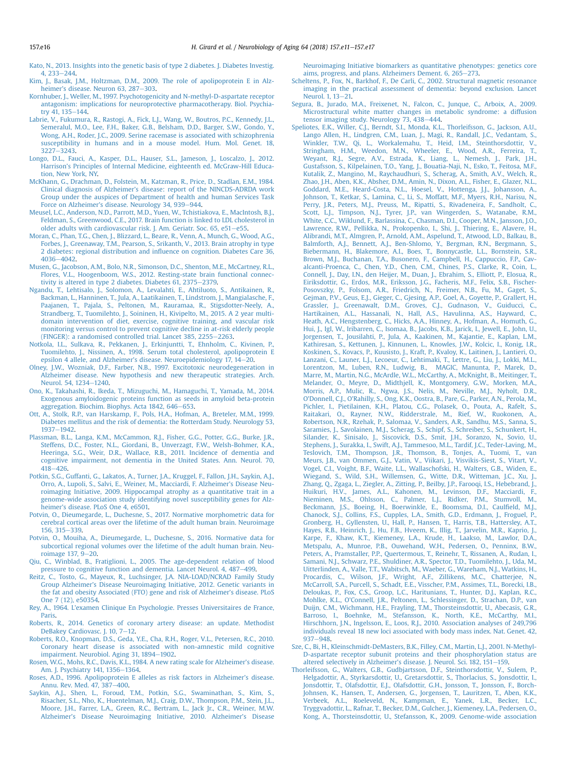<span id="page-5-0"></span>[Kato, N., 2013. Insights into the genetic basis of type 2 diabetes. J. Diabetes Investig.](http://refhub.elsevier.com/S0197-4580(17)30384-6/sref28) [4, 233](http://refhub.elsevier.com/S0197-4580(17)30384-6/sref28)-[244](http://refhub.elsevier.com/S0197-4580(17)30384-6/sref28).

[Kim, J., Basak, J.M., Holtzman, D.M., 2009. The role of apolipoprotein E in Alz](http://refhub.elsevier.com/S0197-4580(17)30384-6/sref29)heimer'[s disease. Neuron 63, 287](http://refhub.elsevier.com/S0197-4580(17)30384-6/sref29)-[303.](http://refhub.elsevier.com/S0197-4580(17)30384-6/sref29)

- [Kornhuber, J., Weller, M., 1997. Psychotogenicity and N-methyl-D-aspartate receptor](http://refhub.elsevier.com/S0197-4580(17)30384-6/sref30) [antagonism: implications for neuroprotective pharmacotherapy. Biol. Psychia](http://refhub.elsevier.com/S0197-4580(17)30384-6/sref30)[try 41, 135](http://refhub.elsevier.com/S0197-4580(17)30384-6/sref30)-[144.](http://refhub.elsevier.com/S0197-4580(17)30384-6/sref30)
- [Labrie, V., Fukumura, R., Rastogi, A., Fick, L.J., Wang, W., Boutros, P.C., Kennedy, J.L.,](http://refhub.elsevier.com/S0197-4580(17)30384-6/sref31) [Semeralul, M.O., Lee, F.H., Baker, G.B., Belsham, D.D., Barger, S.W., Gondo, Y.,](http://refhub.elsevier.com/S0197-4580(17)30384-6/sref31) [Wong, A.H., Roder, J.C., 2009. Serine racemase is associated with schizophrenia](http://refhub.elsevier.com/S0197-4580(17)30384-6/sref31) [susceptibility in humans and in a mouse model. Hum. Mol. Genet. 18,](http://refhub.elsevier.com/S0197-4580(17)30384-6/sref31) [3227](http://refhub.elsevier.com/S0197-4580(17)30384-6/sref31)-[3243](http://refhub.elsevier.com/S0197-4580(17)30384-6/sref31).
- [Longo, D.L., Fauci, A., Kasper, D.L., Hauser, S.L., Jameson, J., Loscalzo, J., 2012.](http://refhub.elsevier.com/S0197-4580(17)30384-6/sref32) Harrison'[s Principles of Internal Medicine, eighteenth ed. McGraw-Hill Educa](http://refhub.elsevier.com/S0197-4580(17)30384-6/sref32)[tion, New York, NY.](http://refhub.elsevier.com/S0197-4580(17)30384-6/sref32)
- [McKhann, G., Drachman, D., Folstein, M., Katzman, R., Price, D., Stadlan, E.M., 1984.](http://refhub.elsevier.com/S0197-4580(17)30384-6/sref33) Clinical diagnosis of Alzheimer'[s disease: report of the NINCDS-ADRDA work](http://refhub.elsevier.com/S0197-4580(17)30384-6/sref33) [Group under the auspices of Department of health and human Services Task](http://refhub.elsevier.com/S0197-4580(17)30384-6/sref33) Force on Alzheimer'[s disease. Neurology 34, 939](http://refhub.elsevier.com/S0197-4580(17)30384-6/sref33)-[944.](http://refhub.elsevier.com/S0197-4580(17)30384-6/sref33)
- [Meusel, L.C., Anderson, N.D., Parrott, M.D., Yuen, W., Tchistiakova, E., MacIntosh, B.J.,](http://refhub.elsevier.com/S0197-4580(17)30384-6/sref34) [Feldman, S., Greenwood, C.E., 2017. Brain function is linked to LDL cholesterol in](http://refhub.elsevier.com/S0197-4580(17)30384-6/sref34) [older adults with cardiovascular risk. J. Am. Geriatr. Soc. 65, e51](http://refhub.elsevier.com/S0197-4580(17)30384-6/sref34)-[e55.](http://refhub.elsevier.com/S0197-4580(17)30384-6/sref34)
- [Moran, C., Phan, T.G., Chen, J., Blizzard, L., Beare, R., Venn, A., Munch, G., Wood, A.G.,](http://refhub.elsevier.com/S0197-4580(17)30384-6/sref35) [Forbes, J., Greenaway, T.M., Pearson, S., Srikanth, V., 2013. Brain atrophy in type](http://refhub.elsevier.com/S0197-4580(17)30384-6/sref35) [2 diabetes: regional distribution and in](http://refhub.elsevier.com/S0197-4580(17)30384-6/sref35)fluence on cognition. Diabetes Care 36, [4036](http://refhub.elsevier.com/S0197-4580(17)30384-6/sref35)-[4042.](http://refhub.elsevier.com/S0197-4580(17)30384-6/sref35)
- [Musen, G., Jacobson, A.M., Bolo, N.R., Simonson, D.C., Shenton, M.E., McCartney, R.L.,](http://refhub.elsevier.com/S0197-4580(17)30384-6/sref36) [Flores, V.L., Hoogenboom, W.S., 2012. Resting-state brain functional connec](http://refhub.elsevier.com/S0197-4580(17)30384-6/sref36)tivity is altered in type 2 diabetes. Diabetes  $61$ ,  $2375-2379$ .
- [Ngandu, T., Lehtisalo, J., Solomon, A., Levalahti, E., Ahtiluoto, S., Antikainen, R.,](http://refhub.elsevier.com/S0197-4580(17)30384-6/sref37) [Backman, L., Hanninen, T., Jula, A., Laatikainen, T., Lindstrom, J., Mangialasche, F.,](http://refhub.elsevier.com/S0197-4580(17)30384-6/sref37) [Paajanen, T., Pajala, S., Peltonen, M., Rauramaa, R., Stigsdotter-Neely, A.,](http://refhub.elsevier.com/S0197-4580(17)30384-6/sref37) [Strandberg, T., Tuomilehto, J., Soininen, H., Kivipelto, M., 2015. A 2 year multi](http://refhub.elsevier.com/S0197-4580(17)30384-6/sref37)[domain intervention of diet, exercise, cognitive training, and vascular risk](http://refhub.elsevier.com/S0197-4580(17)30384-6/sref37) [monitoring versus control to prevent cognitive decline in at-risk elderly people](http://refhub.elsevier.com/S0197-4580(17)30384-6/sref37) [\(FINGER\): a randomised controlled trial. Lancet 385, 2255](http://refhub.elsevier.com/S0197-4580(17)30384-6/sref37) $-$ [2263](http://refhub.elsevier.com/S0197-4580(17)30384-6/sref37).
- [Notkola, I.L., Sulkava, R., Pekkanen, J., Erkinjuntti, T., Ehnholm, C., Kivinen, P.,](http://refhub.elsevier.com/S0197-4580(17)30384-6/sref38) [Tuomilehto, J., Nissinen, A., 1998. Serum total cholesterol, apolipoprotein E](http://refhub.elsevier.com/S0197-4580(17)30384-6/sref38) epsilon 4 allele, and Alzheimer'[s disease. Neuroepidemiology 17, 14](http://refhub.elsevier.com/S0197-4580(17)30384-6/sref38)-[20](http://refhub.elsevier.com/S0197-4580(17)30384-6/sref38).
- [Olney, J.W., Wozniak, D.F., Farber, N.B., 1997. Excitotoxic neurodegeneration in](http://refhub.elsevier.com/S0197-4580(17)30384-6/sref39) [Alzheimer disease. New hypothesis and new therapeutic strategies. Arch.](http://refhub.elsevier.com/S0197-4580(17)30384-6/sref39) [Neurol. 54, 1234](http://refhub.elsevier.com/S0197-4580(17)30384-6/sref39)-[1240](http://refhub.elsevier.com/S0197-4580(17)30384-6/sref39).
- [Ono, K., Takahashi, R., Ikeda, T., Mizuguchi, M., Hamaguchi, T., Yamada, M., 2014.](http://refhub.elsevier.com/S0197-4580(17)30384-6/sref40) [Exogenous amyloidogenic proteins function as seeds in amyloid beta-protein](http://refhub.elsevier.com/S0197-4580(17)30384-6/sref40) [aggregation. Biochim. Biophys. Acta 1842, 646](http://refhub.elsevier.com/S0197-4580(17)30384-6/sref40)-[653](http://refhub.elsevier.com/S0197-4580(17)30384-6/sref40).
- [Ott, A., Stolk, R.P., van Harskamp, F., Pols, H.A., Hofman, A., Breteler, M.M., 1999.](http://refhub.elsevier.com/S0197-4580(17)30384-6/sref41) [Diabetes mellitus and the risk of dementia: the Rotterdam Study. Neurology 53,](http://refhub.elsevier.com/S0197-4580(17)30384-6/sref41) [1937](http://refhub.elsevier.com/S0197-4580(17)30384-6/sref41)-[1942](http://refhub.elsevier.com/S0197-4580(17)30384-6/sref41).
- [Plassman, B.L., Langa, K.M., McCammon, R.J., Fisher, G.G., Potter, G.G., Burke, J.R.,](http://refhub.elsevier.com/S0197-4580(17)30384-6/sref42) [Steffens, D.C., Foster, N.L., Giordani, B., Unverzagt, F.W., Welsh-Bohmer, K.A.,](http://refhub.elsevier.com/S0197-4580(17)30384-6/sref42) [Heeringa, S.G., Weir, D.R., Wallace, R.B., 2011. Incidence of dementia and](http://refhub.elsevier.com/S0197-4580(17)30384-6/sref42) [cognitive impairment, not dementia in the United States. Ann. Neurol. 70,](http://refhub.elsevier.com/S0197-4580(17)30384-6/sref42) [418](http://refhub.elsevier.com/S0197-4580(17)30384-6/sref42)-[426.](http://refhub.elsevier.com/S0197-4580(17)30384-6/sref42)
- [Potkin, S.G., Guffanti, G., Lakatos, A., Turner, J.A., Kruggel, F., Fallon, J.H., Saykin, A.J.,](http://refhub.elsevier.com/S0197-4580(17)30384-6/sref43) [Orro, A., Lupoli, S., Salvi, E., Weiner, M., Macciardi, F. Alzheimer](http://refhub.elsevier.com/S0197-4580(17)30384-6/sref43)'s Disease Neu[roimaging Initiative, 2009. Hippocampal atrophy as a quantitative trait in a](http://refhub.elsevier.com/S0197-4580(17)30384-6/sref43) [genome-wide association study identifying novel susceptibility genes for Alz](http://refhub.elsevier.com/S0197-4580(17)30384-6/sref43)heimer'[s disease. PLoS One 4, e6501.](http://refhub.elsevier.com/S0197-4580(17)30384-6/sref43)
- [Potvin, O., Dieumegarde, L., Duchesne, S., 2017. Normative morphometric data for](http://refhub.elsevier.com/S0197-4580(17)30384-6/sref44) [cerebral cortical areas over the lifetime of the adult human brain. Neuroimage](http://refhub.elsevier.com/S0197-4580(17)30384-6/sref44) [156, 315](http://refhub.elsevier.com/S0197-4580(17)30384-6/sref44)-[339.](http://refhub.elsevier.com/S0197-4580(17)30384-6/sref44)
- [Potvin, O., Mouiha, A., Dieumegarde, L., Duchesne, S., 2016. Normative data for](http://refhub.elsevier.com/S0197-4580(17)30384-6/sref45) [subcortical regional volumes over the lifetime of the adult human brain. Neu](http://refhub.elsevier.com/S0197-4580(17)30384-6/sref45)roimage  $137, 9-20$  $137, 9-20$ .
- [Qiu, C., Winblad, B., Fratiglioni, L., 2005. The age-dependent relation of blood](http://refhub.elsevier.com/S0197-4580(17)30384-6/sref46) [pressure to cognitive function and dementia. Lancet Neurol. 4, 487](http://refhub.elsevier.com/S0197-4580(17)30384-6/sref46)-[499.](http://refhub.elsevier.com/S0197-4580(17)30384-6/sref46)
- [Reitz, C., Tosto, G., Mayeux, R., Luchsinger, J.A. NIA-LOAD/NCRAD Family Study](http://refhub.elsevier.com/S0197-4580(17)30384-6/sref47) Group Alzheimer'[s Disease Neuroimaging Initiative, 2012. Genetic variants in](http://refhub.elsevier.com/S0197-4580(17)30384-6/sref47) [the fat and obesity Associated \(FTO\) gene and risk of Alzheimer](http://refhub.elsevier.com/S0197-4580(17)30384-6/sref47)'s disease. PLoS [One 7 \(12\), e50354.](http://refhub.elsevier.com/S0197-4580(17)30384-6/sref47)
- Rey, A., 1964. L'[examen Clinique En Psychologie. Presses Universitaires de France,](http://refhub.elsevier.com/S0197-4580(17)30384-6/sref48) [Paris.](http://refhub.elsevier.com/S0197-4580(17)30384-6/sref48)
- [Roberts, R., 2014. Genetics of coronary artery disease: an update. Methodist](http://refhub.elsevier.com/S0197-4580(17)30384-6/sref49) [DeBakey Cardiovasc. J. 10, 7](http://refhub.elsevier.com/S0197-4580(17)30384-6/sref49)-[12](http://refhub.elsevier.com/S0197-4580(17)30384-6/sref49).
- [Roberts, R.O., Knopman, D.S., Geda, Y.E., Cha, R.H., Roger, V.L., Petersen, R.C., 2010.](http://refhub.elsevier.com/S0197-4580(17)30384-6/sref50) [Coronary heart disease is associated with non-amnestic mild cognitive](http://refhub.elsevier.com/S0197-4580(17)30384-6/sref50) [impairment. Neurobiol. Aging 31, 1894](http://refhub.elsevier.com/S0197-4580(17)30384-6/sref50)-[1902](http://refhub.elsevier.com/S0197-4580(17)30384-6/sref50).
- [Rosen, W.G., Mohs, R.C., Davis, K.L., 1984. A new rating scale for Alzheimer](http://refhub.elsevier.com/S0197-4580(17)30384-6/sref51)'s disease. [Am. J. Psychiatry 141, 1356](http://refhub.elsevier.com/S0197-4580(17)30384-6/sref51)-[1364](http://refhub.elsevier.com/S0197-4580(17)30384-6/sref51).
- [Roses, A.D., 1996. Apolipoprotein E alleles as risk factors in Alzheimer](http://refhub.elsevier.com/S0197-4580(17)30384-6/sref52)'s disease. [Annu. Rev. Med. 47, 387](http://refhub.elsevier.com/S0197-4580(17)30384-6/sref52)-[400.](http://refhub.elsevier.com/S0197-4580(17)30384-6/sref52)
- [Saykin, A.J., Shen, L., Foroud, T.M., Potkin, S.G., Swaminathan, S., Kim, S.,](http://refhub.elsevier.com/S0197-4580(17)30384-6/sref53) [Risacher, S.L., Nho, K., Huentelman, M.J., Craig, D.W., Thompson, P.M., Stein, J.L.,](http://refhub.elsevier.com/S0197-4580(17)30384-6/sref53) [Moore, J.H., Farrer, L.A., Green, R.C., Bertram, L., Jack Jr., C.R., Weiner, M.W.](http://refhub.elsevier.com/S0197-4580(17)30384-6/sref53) Alzheimer'[s Disease Neuroimaging Initiative, 2010. Alzheimer](http://refhub.elsevier.com/S0197-4580(17)30384-6/sref53)'s Disease

[Neuroimaging Initiative biomarkers as quantitative phenotypes: genetics core](http://refhub.elsevier.com/S0197-4580(17)30384-6/sref53) [aims, progress, and plans. Alzheimers Dement. 6, 265](http://refhub.elsevier.com/S0197-4580(17)30384-6/sref53)–[273.](http://refhub.elsevier.com/S0197-4580(17)30384-6/sref53)<br>[Scheltens, P., Fox, N., Barkhof, F., De Carli, C., 2002. Structural magnetic resonance](http://refhub.elsevier.com/S0197-4580(17)30384-6/sref54)

- [imaging in the practical assessment of dementia: beyond exclusion. Lancet](http://refhub.elsevier.com/S0197-4580(17)30384-6/sref54) [Neurol. 1, 13](http://refhub.elsevier.com/S0197-4580(17)30384-6/sref54)-[21.](http://refhub.elsevier.com/S0197-4580(17)30384-6/sref54)
- [Segura, B., Jurado, M.A., Freixenet, N., Falcon, C., Junque, C., Arboix, A., 2009.](http://refhub.elsevier.com/S0197-4580(17)30384-6/sref55) [Microstructural white matter changes in metabolic syndrome: a diffusion](http://refhub.elsevier.com/S0197-4580(17)30384-6/sref55) [tensor imaging study. Neurology 73, 438](http://refhub.elsevier.com/S0197-4580(17)30384-6/sref55)-[444.](http://refhub.elsevier.com/S0197-4580(17)30384-6/sref55)
- [Speliotes, E.K., Willer, C.J., Berndt, S.I., Monda, K.L., Thorleifsson, G., Jackson, A.U.,](http://refhub.elsevier.com/S0197-4580(17)30384-6/sref56) [Lango Allen, H., Lindgren, C.M., Luan, J., Magi, R., Randall, J.C., Vedantam, S.,](http://refhub.elsevier.com/S0197-4580(17)30384-6/sref56) [Winkler, T.W., Qi, L., Workalemahu, T., Heid, I.M., Steinthorsdottir, V.,](http://refhub.elsevier.com/S0197-4580(17)30384-6/sref56) [Stringham, H.M., Weedon, M.N., Wheeler, E., Wood, A.R., Ferreira, T.,](http://refhub.elsevier.com/S0197-4580(17)30384-6/sref56) [Weyant, R.J., Segre, A.V., Estrada, K., Liang, L., Nemesh, J., Park, J.H.,](http://refhub.elsevier.com/S0197-4580(17)30384-6/sref56) [Gustafsson, S., Kilpelainen, T.O., Yang, J., Bouatia-Naji, N., Esko, T., Feitosa, M.F.,](http://refhub.elsevier.com/S0197-4580(17)30384-6/sref56) [Kutalik, Z., Mangino, M., Raychaudhuri, S., Scherag, A., Smith, A.V., Welch, R.,](http://refhub.elsevier.com/S0197-4580(17)30384-6/sref56) [Zhao, J.H., Aben, K.K., Absher, D.M., Amin, N., Dixon, A.L., Fisher, E., Glazer, N.L.,](http://refhub.elsevier.com/S0197-4580(17)30384-6/sref56) [Goddard, M.E., Heard-Costa, N.L., Hoesel, V., Hottenga, J.J., Johansson, A.,](http://refhub.elsevier.com/S0197-4580(17)30384-6/sref56) [Johnson, T., Ketkar, S., Lamina, C., Li, S., Moffatt, M.F., Myers, R.H., Narisu, N.,](http://refhub.elsevier.com/S0197-4580(17)30384-6/sref56) [Perry, J.R., Peters, M.J., Preuss, M., Ripatti, S., Rivadeneira, F., Sandholt, C.,](http://refhub.elsevier.com/S0197-4580(17)30384-6/sref56) [Scott, L.J., Timpson, N.J., Tyrer, J.P., van Wingerden, S., Watanabe, R.M.,](http://refhub.elsevier.com/S0197-4580(17)30384-6/sref56) [White, C.C., Wiklund, F., Barlassina, C., Chasman, D.I., Cooper, M.N., Jansson, J.O.,](http://refhub.elsevier.com/S0197-4580(17)30384-6/sref56) [Lawrence, R.W., Pellikka, N., Prokopenko, I., Shi, J., Thiering, E., Alavere, H.,](http://refhub.elsevier.com/S0197-4580(17)30384-6/sref56) [Alibrandi, M.T., Almgren, P., Arnold, A.M., Aspelund, T., Atwood, L.D., Balkau, B.,](http://refhub.elsevier.com/S0197-4580(17)30384-6/sref56) [Balmforth, A.J., Bennett, A.J., Ben-Shlomo, Y., Bergman, R.N., Bergmann, S.,](http://refhub.elsevier.com/S0197-4580(17)30384-6/sref56) [Biebermann, H., Blakemore, A.I., Boes, T., Bonnycastle, L.L., Bornstein, S.R.,](http://refhub.elsevier.com/S0197-4580(17)30384-6/sref56) [Brown, M.J., Buchanan, T.A., Busonero, F., Campbell, H., Cappuccio, F.P., Cav](http://refhub.elsevier.com/S0197-4580(17)30384-6/sref56)[alcanti-Proenca, C., Chen, Y.D., Chen, C.M., Chines, P.S., Clarke, R., Coin, L.,](http://refhub.elsevier.com/S0197-4580(17)30384-6/sref56) [Connell, J., Day, I.N., den Heijer, M., Duan, J., Ebrahim, S., Elliott, P., Elosua, R.,](http://refhub.elsevier.com/S0197-4580(17)30384-6/sref56) [Eiriksdottir, G., Erdos, M.R., Eriksson, J.G., Facheris, M.F., Felix, S.B., Fischer-](http://refhub.elsevier.com/S0197-4580(17)30384-6/sref56)[Posovszky, P., Folsom, A.R., Friedrich, N., Freimer, N.B., Fu, M., Gaget, S.,](http://refhub.elsevier.com/S0197-4580(17)30384-6/sref56) [Gejman, P.V., Geus, E.J., Gieger, C., Gjesing, A.P., Goel, A., Goyette, P., Grallert, H.,](http://refhub.elsevier.com/S0197-4580(17)30384-6/sref56) [Grassler, J., Greenawalt, D.M., Groves, C.J., Gudnason, V., Guiducci, C.,](http://refhub.elsevier.com/S0197-4580(17)30384-6/sref56) [Hartikainen, A.L., Hassanali, N., Hall, A.S., Havulinna, A.S., Hayward, C.,](http://refhub.elsevier.com/S0197-4580(17)30384-6/sref56) [Heath, A.C., Hengstenberg, C., Hicks, A.A., Hinney, A., Hofman, A., Homuth, G.,](http://refhub.elsevier.com/S0197-4580(17)30384-6/sref56) [Hui, J., Igl, W., Iribarren, C., Isomaa, B., Jacobs, K.B., Jarick, I., Jewell, E., John, U.,](http://refhub.elsevier.com/S0197-4580(17)30384-6/sref56) [Jorgensen, T., Jousilahti, P., Jula, A., Kaakinen, M., Kajantie, E., Kaplan, L.M.,](http://refhub.elsevier.com/S0197-4580(17)30384-6/sref56) [Kathiresan, S., Kettunen, J., Kinnunen, L., Knowles, J.W., Kolcic, I., Konig, I.R.,](http://refhub.elsevier.com/S0197-4580(17)30384-6/sref56)<br>[Koskinen, S., Kovacs, P., Kuusisto, J., Kraft, P., Kvaloy, K., Laitinen, J., Lantieri, O.,](http://refhub.elsevier.com/S0197-4580(17)30384-6/sref56) [Lanzani, C., Launer, L.J., Lecoeur, C., Lehtimaki, T., Lettre, G., Liu, J., Lokki, M.L.,](http://refhub.elsevier.com/S0197-4580(17)30384-6/sref56) [Lorentzon, M., Luben, R.N., Ludwig, B., MAGIC, Manunta, P., Marek, D.,](http://refhub.elsevier.com/S0197-4580(17)30384-6/sref56) [Marre, M., Martin, N.G., McArdle, W.L., McCarthy, A., McKnight, B., Meitinger, T.,](http://refhub.elsevier.com/S0197-4580(17)30384-6/sref56) [Melander, O., Meyre, D., Midthjell, K., Montgomery, G.W., Morken, M.A.,](http://refhub.elsevier.com/S0197-4580(17)30384-6/sref56) [Morris, A.P., Mulic, R., Ngwa, J.S., Nelis, M., Neville, M.J., Nyholt, D.R.,](http://refhub.elsevier.com/S0197-4580(17)30384-6/sref56) O'Donnell, C.J., O'[Rahilly, S., Ong, K.K., Oostra, B., Pare, G., Parker, A.N., Perola, M.,](http://refhub.elsevier.com/S0197-4580(17)30384-6/sref56) [Pichler, I., Pietilainen, K.H., Platou, C.G., Polasek, O., Pouta, A., Rafelt, S.,](http://refhub.elsevier.com/S0197-4580(17)30384-6/sref56) [Raitakari, O., Rayner, N.W., Ridderstrale, M., Rief, W., Ruokonen, A.,](http://refhub.elsevier.com/S0197-4580(17)30384-6/sref56) [Robertson, N.R., Rzehak, P., Salomaa, V., Sanders, A.R., Sandhu, M.S., Sanna, S.,](http://refhub.elsevier.com/S0197-4580(17)30384-6/sref56) [Saramies, J., Savolainen, M.J., Scherag, S., Schipf, S., Schreiber, S., Schunkert, H.,](http://refhub.elsevier.com/S0197-4580(17)30384-6/sref56) [Silander, K., Sinisalo, J., Siscovick, D.S., Smit, J.H., Soranzo, N., Sovio, U.,](http://refhub.elsevier.com/S0197-4580(17)30384-6/sref56) [Stephens, J., Surakka, I., Swift, A.J., Tammesoo, M.L., Tardif, J.C., Teder-Laving, M.,](http://refhub.elsevier.com/S0197-4580(17)30384-6/sref56) [Teslovich, T.M., Thompson, J.R., Thomson, B., Tonjes, A., Tuomi, T., van](http://refhub.elsevier.com/S0197-4580(17)30384-6/sref56) [Meurs, J.B., van Ommen, G.J., Vatin, V., Viikari, J., Visvikis-Siest, S., Vitart, V.,](http://refhub.elsevier.com/S0197-4580(17)30384-6/sref56) [Vogel, C.I., Voight, B.F., Waite, L.L., Wallaschofski, H., Walters, G.B., Widen, E.,](http://refhub.elsevier.com/S0197-4580(17)30384-6/sref56) [Wiegand, S., Wild, S.H., Willemsen, G., Witte, D.R., Witteman, J.C., Xu, J.,](http://refhub.elsevier.com/S0197-4580(17)30384-6/sref56) [Zhang, Q., Zgaga, L., Ziegler, A., Zitting, P., Beilby, J.P., Farooqi, I.S., Hebebrand, J.,](http://refhub.elsevier.com/S0197-4580(17)30384-6/sref56) [Huikuri, H.V., James, A.L., Kahonen, M., Levinson, D.F., Macciardi, F.,](http://refhub.elsevier.com/S0197-4580(17)30384-6/sref56) [Nieminen, M.S., Ohlsson, C., Palmer, L.J., Ridker, P.M., Stumvoll, M.,](http://refhub.elsevier.com/S0197-4580(17)30384-6/sref56) [Beckmann, J.S., Boeing, H., Boerwinkle, E., Boomsma, D.I., Caul](http://refhub.elsevier.com/S0197-4580(17)30384-6/sref56)field, M.J., [Chanock, S.J., Collins, F.S., Cupples, L.A., Smith, G.D., Erdmann, J., Froguel, P.,](http://refhub.elsevier.com/S0197-4580(17)30384-6/sref56) [Gronberg, H., Gyllensten, U., Hall, P., Hansen, T., Harris, T.B., Hattersley, A.T.,](http://refhub.elsevier.com/S0197-4580(17)30384-6/sref56) [Hayes, R.B., Heinrich, J., Hu, F.B., Hveem, K., Illig, T., Jarvelin, M.R., Kaprio, J.,](http://refhub.elsevier.com/S0197-4580(17)30384-6/sref56) [Karpe, F., Khaw, K.T., Kiemeney, L.A., Krude, H., Laakso, M., Lawlor, D.A.,](http://refhub.elsevier.com/S0197-4580(17)30384-6/sref56) [Metspalu, A., Munroe, P.B., Ouwehand, W.H., Pedersen, O., Penninx, B.W.,](http://refhub.elsevier.com/S0197-4580(17)30384-6/sref56) [Peters, A., Pramstaller, P.P., Quertermous, T., Reinehr, T., Rissanen, A., Rudan, I.,](http://refhub.elsevier.com/S0197-4580(17)30384-6/sref56) [Samani, N.J., Schwarz, P.E., Shuldiner, A.R., Spector, T.D., Tuomilehto, J., Uda, M.,](http://refhub.elsevier.com/S0197-4580(17)30384-6/sref56) [Uitterlinden, A., Valle, T.T., Wabitsch, M., Waeber, G., Wareham, N.J., Watkins, H.,](http://refhub.elsevier.com/S0197-4580(17)30384-6/sref56) [Procardis, C., Wilson, J.F., Wright, A.F., Zillikens, M.C., Chatterjee, N.,](http://refhub.elsevier.com/S0197-4580(17)30384-6/sref56) [McCarroll, S.A., Purcell, S., Schadt, E.E., Visscher, P.M., Assimes, T.L., Borecki, I.B.,](http://refhub.elsevier.com/S0197-4580(17)30384-6/sref56) [Deloukas, P., Fox, C.S., Groop, L.C., Haritunians, T., Hunter, D.J., Kaplan, R.C.,](http://refhub.elsevier.com/S0197-4580(17)30384-6/sref56) Mohlke, K.L., O'[Connell, J.R., Peltonen, L., Schlessinger, D., Strachan, D.P., van](http://refhub.elsevier.com/S0197-4580(17)30384-6/sref56) [Duijn, C.M., Wichmann, H.E., Frayling, T.M., Thorsteinsdottir, U., Abecasis, G.R.,](http://refhub.elsevier.com/S0197-4580(17)30384-6/sref56) [Barroso, I., Boehnke, M., Stefansson, K., North, K.E., McCarthy, M.I.,](http://refhub.elsevier.com/S0197-4580(17)30384-6/sref56) [Hirschhorn, J.N., Ingelsson, E., Loos, R.J., 2010. Association analyses of 249,796](http://refhub.elsevier.com/S0197-4580(17)30384-6/sref56) [individuals reveal 18 new loci associated with body mass index. Nat. Genet. 42,](http://refhub.elsevier.com/S0197-4580(17)30384-6/sref56) [937](http://refhub.elsevier.com/S0197-4580(17)30384-6/sref56)-[948](http://refhub.elsevier.com/S0197-4580(17)30384-6/sref56).
- [Sze, C., Bi, H., Kleinschmidt-DeMasters, B.K., Filley, C.M., Martin, L.J., 2001. N-Methyl-](http://refhub.elsevier.com/S0197-4580(17)30384-6/sref57)[D-aspartate receptor subunit proteins and their phosphorylation status are](http://refhub.elsevier.com/S0197-4580(17)30384-6/sref57) altered selectively in Alzheimer'[s disease. J. Neurol. Sci. 182, 151](http://refhub.elsevier.com/S0197-4580(17)30384-6/sref57)-[159](http://refhub.elsevier.com/S0197-4580(17)30384-6/sref57).
- [Thorleifsson, G., Walters, G.B., Gudbjartsson, D.F., Steinthorsdottir, V., Sulem, P.,](http://refhub.elsevier.com/S0197-4580(17)30384-6/sref58) [Helgadottir, A., Styrkarsdottir, U., Gretarsdottir, S., Thorlacius, S., Jonsdottir, I.,](http://refhub.elsevier.com/S0197-4580(17)30384-6/sref58) [Jonsdottir, T., Olafsdottir, E.J., Olafsdottir, G.H., Jonsson, T., Jonsson, F., Borch-](http://refhub.elsevier.com/S0197-4580(17)30384-6/sref58)[Johnsen, K., Hansen, T., Andersen, G., Jorgensen, T., Lauritzen, T., Aben, K.K.,](http://refhub.elsevier.com/S0197-4580(17)30384-6/sref58) [Verbeek, A.L., Roeleveld, N., Kampman, E., Yanek, L.R., Becker, L.C.,](http://refhub.elsevier.com/S0197-4580(17)30384-6/sref58) [Tryggvadottir, L., Rafnar, T., Becker, D.M., Gulcher, J., Kiemeney, L.A., Pedersen, O.,](http://refhub.elsevier.com/S0197-4580(17)30384-6/sref58) [Kong, A., Thorsteinsdottir, U., Stefansson, K., 2009. Genome-wide association](http://refhub.elsevier.com/S0197-4580(17)30384-6/sref58)